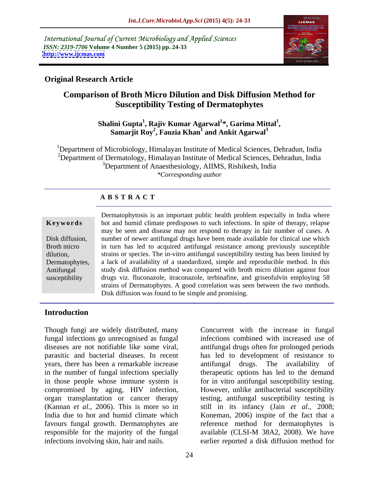International Journal of Current Microbiology and Applied Sciences *ISSN: 2319-7706* **Volume 4 Number 5 (2015) pp. 24-33 <http://www.ijcmas.com>**



### **Original Research Article**

# **Comparison of Broth Micro Dilution and Disk Diffusion Method for Susceptibility Testing of Dermatophytes**

#### **Shalini Gupta<sup>1</sup> , Rajiv Kumar Agarwal<sup>1</sup> \*, Garima Mittal<sup>1</sup>** lini Gupta<sup>1</sup>, Rajiv Kumar Agarwal<sup>1</sup>\*, Garima Mittal<sup>1</sup>,<br>Samarjit Roy<sup>2</sup>, Fauzia Khan<sup>1</sup> and Ankit Agarwal<sup>3</sup>  **and Ankit Agarwal<sup>3</sup>**

<sup>1</sup>Department of Microbiology, Himalayan Institute of Medical Sciences, Dehradun, India <sup>2</sup>Department of Dermatology, Himalayan Institute of Medical Sciences, Dehradun, India <sup>3</sup>Department of Anaesthesiology, AIIMS, Rishikesh, India *\*Corresponding author*

#### **A B S T R A C T**

susceptibility

Dermatophytosis is an important public health problem especially in India where **Keywords** hot and humid climate predisposes to such infections. In spite of therapy, relapse may be seen and disease may not respond to therapy in fair number of cases. A Disk diffusion, number of newer antifungal drugs have been made available for clinical use which Broth micro in turn has led to acquired antifungal resistance among previously susceptible strains or species. The in-vitro antifungal susceptibility testing has been limited by dilution, Dermatophytes, a lack of availability of a standardized, simple and reproducible method. In this study disk diffusion method was compared with broth micro dilution against four Antifungal drugs viz. fluconazole, itraconazole, terbinafine, and griseofulvin employing 58 strains of Dermatophytes. A good correlation was seen between the two methods. Disk diffusion was found to be simple and promising.

### **Introduction**

Though fungi are widely distributed, many Concurrent with the increase in fungal fungal infections go unrecognised as fungal diseases are not notifiable like some viral, antifungal drugs often for prolonged periods parasitic and bacterial diseases. In recent has led to development of resistance to years, there has been a remarkable increase antifungal drugs. The availability of in the number of fungal infections specially therapeutic options has led to the demand in those people whose immune system is for in vitro antifungal susceptibility testing. compromised by aging, HIV infection, However, unlike antibacterial susceptibility organ transplantation or cancer therapy testing, antifungal susceptibility testing is (Kannan *et al.,* 2006).This is more so in still in its infancy (Jain *et al.,* 2008; India due to hot and humid climate which Koneman, 2006) inspite of the fact that a favours fungal growth. Dermatophytes are reference method for dermatophytes is responsible for the majority of the fungal available (CLSI-M 38A2, 2008). We have infections involving skin, hair and nails. earlier reported a disk diffusion method for

infections combined with increased use of

antifungal drugs. The availability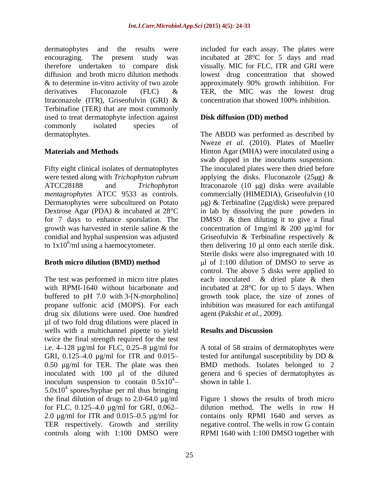dermatophytes and the results were included for each assay. The plates were encouraging. The present study was incubated at 28°C for 5 days and read therefore undertaken to compare disk visually. MIC for FLC, ITR and GRI were diffusion and broth micro dilution methods lowest drug concentration that showed & to determine in-vitro activity of two azole approximately 90% growth inhibition. For derivatives Fluconazole (FLC) & TER, the MIC was the lowest drug Itraconazole (ITR), Griseofulvin (GRI) & Terbinafine (TER) that are most commonly used to treat dermatophyte infection against **Disk diffusion (DD) method** commonly isolated species of

conidial and hyphal suspension was adjusted Griseofulvin & Terbinafine respectively &

drug six dilutions were used. One hundred µl of two fold drug dilutions were placed in wells with a multichannel pipette to yield **Results and Discussion** twice the final strength required for the test i.e. 4–128 µg/ml for FLC, 0.25–8 µg/ml for A total of 58 strains of dermatophytes were GRI, 0.125–4.0  $\mu$ g/ml for ITR and 0.015– tested for antifungal susceptibility by DD & 0.50 µg/ml for TER. The plate was then BMD methods. Isolates belonged to 2 inoculated with 100 µl of the diluted genera and 6 species of dermatophytes as inoculum suspension to contain  $0.5x10^4$  shown in table 1.  $5.0x10<sup>4</sup>$  spores/hyphae per ml thus bringing the final dilution of drugs to  $2.0-64.0 \mu g/ml$ for FLC,  $0.125 - 4.0$   $\mu$ g/ml for GRI,  $0.062 -$ 2.0  $\mu$ g/ml for ITR and 0.015–0.5  $\mu$ g/ml for contains only RPMI 1640 and serves as TER respectively. Growth and sterility negative control. The wells in row G contain controls along with 1:100 DMSO were RPMI 1640 with 1:100 DMSO together with

concentration that showed 100% inhibition.

#### **Disk diffusion (DD) method**

dermatophytes. The ABDD was performed as described by **Materials and Methods Example 20 Hinton Agar (MHA)** were inoculated using a Fifty eight clinical isolates of dermatophytes The inoculated plates were then dried before were tested along with *Trichophyton rubrum* applying the disks. Fluconazole (25µg) & ATCC28188 and *Trichophyton* Itraconazole (10 µg) disks were available *mentagrophytes* ATCC 9533 as controls. commercially (HIMEDIA), Griseofulvin (10 Dermatophytes were subcultured on Potato (equally application of  $\log \alpha$  Terbinafine (2 g/disk) were prepared Dextrose Agar (PDA) & incubated at 28°C in lab by dissolving the pure powders in for 7 days to enhance sporulation. The DMSO & then diluting it to give a final growth was harvested in sterile saline  $\&$  the concentration of 1mg/ml  $\&$  200  $\mu$ g/ml for to  $1x10^6$ /ml using a haemocytometer. then delivering 10  $\mu$ l onto each sterile disk. **Broth micro dilution (BMD) method**  $\mu$ l of 1:100 dilution of DMSO to serve as The test was performed in micro titre plates each inoculated & dried plate & then with RPMI-1640 without bicarbonate and incubated at 28<sup>o</sup>C for up to 5 days. When buffered to pH 7.0 with 3-[N-morpholino] growth took place, the size of zones of propane sulfonic acid (MOPS). For each inhibition was measured for each antifungal Nweze *et al.* (2010). Plates of Mueller swab dipped in the inoculums suspension. Griseofulvin & Terbinafine respectively & Sterile disks were also impregnated with 10 control. The above 5 disks were applied to agent (Pakshir *et al.,* 2009).

#### **Results and Discussion**

 $\frac{4}{1}$  shown in table 1 shown in table 1.

Figure 1 shows the results of broth micro dilution method. The wells in row H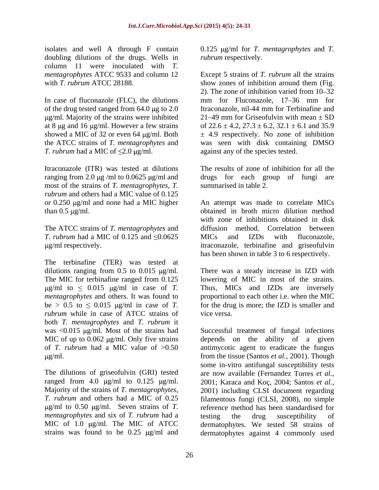isolates and well A through F contain doubling dilutions of the drugs. Wells in column 11 were inoculated with *T.*

In case of fluconazole (FLC), the dilutions mum for Fluconazole, 17–36 mm for of the drug tested ranged from  $64.0 \mu$ g to  $2.0$ at 8  $\mu$ g and 16  $\mu$ g/ml. However a few strains *T. rubrum* had a MIC of  $\leq 2.0$  ug/ml.

Itraconazole (ITR) was tested at dilutions most of the strains of *T. mentagrophytes*, *T. rubrum* and others had a MIC value of 0.125

The ATCC strains of *T. mentagrophytes* and *T. rubrum* had a MIC of 0.125 and  $\leq 0.0625$  MICs and IZDs with fluconazole,

The terbinafine (TER) was tested at  $\mu$ g/ml to  $\leq$  0.015  $\mu$ g/ml in case of *T*. *rubrum* while in case of ATCC strains of vice versa. both *T. mentagrophytes* and *T. rubrum* it MIC of up to  $0.062 \mu g/ml$ . Only five strains

 $\mu$ g/ml to 0.50  $\mu$ g/ml. Seven strains of *T*. *mentagrophytes* and six of *T. rubrum* had a

0.125 g/ml for *T. mentagrophytes* and *T. rubrum* respectively.

*mentagrophytes* ATCC 9533 and column 12 Except 5 strains of *T. rubrum* all the strains with *T. rubrum* ATCC 28188. Show zones of inhibition around them (Fig. g/ml. Majority of the strains were inhibited  $21-49$  mm for Griseofulvin with mean  $\pm$  SD showed a MIC of 32 or even 64  $\mu$ g/ml. Both  $\pm$  4.9 respectively. No zone of inhibition the ATCC strains of *T. mentagrophytes* and was seen with disk containing DMSO 2). The zone of inhibition varied from 10–32 mm for Fluconazole, 17–36 mm for Itraconazole, nil-44 mm for Terbinafine and of  $22.6 \pm 4.2$ ,  $27.3 \pm 6.2$ ,  $32.1 \pm 6.1$  and  $35.9$ against any of the species tested.

ranging from 2.0  $\mu$ g /ml to 0.0625  $\mu$ g/ml and drugs for each group of fungi are The results of zone of inhibition for all the summarised in table 2.

or 0.250 µg/ml and none had a MIC higher An attempt was made to correlate MICs than 0.5 µg/ml. **b** contained in broth micro dilution method g/ml respectively. itraconazole, terbinafine and griseofulving with zone of inhibitions obtained in disk diffusion method. Correlation between MICs and IZDs with fluconazole, has been shown in table 3 to 6 respectively.

dilutions ranging from  $0.5$  to  $0.015$   $\mu$ g/ml. There was a steady increase in IZD with The MIC for terbinafine ranged from 0.125 lowering of MIC in most of the strains. *mentagrophytes* and others. It was found to proportional to each other i.e. when the MIC be  $> 0.5$  to  $\leq 0.015$   $\mu$ g/ml in case of *T*. for the drug is more; the IZD is smaller and Thus, MICs and IZDs are inversely vice versa.

was <0.015 µg/ml. Most of the strains had Successful treatment of fungal infections of *T. rubrum* had a MIC value of >0.50 antimycotic agent to eradicate the fungus g/ml. from the tissue (Santos *et al.,* 2001). Though The dilutions of griseofulvin (GRI) tested are now available (Fernandez Torres *et al.,* ranged from 4.0  $\mu$ g/ml to 0.125  $\mu$ g/ml. 2001; Karaca and Koç, 2004; Santos *et al.*, Majority of the strains of *T. mentagrophytes*, 2001) including CLSI document regarding *T. rubrum* and others had a MIC of 0.25 filamentous fungi (CLSI, 2008), no simple MIC of 1.0 µg/ml. The MIC of ATCC dermatophytes. We tested 58 strains of strains was found to be 0.25  $\mu$ g/ml and dermatophytes against 4 commonly used depends on the ability of a given some in-vitro antifungal susceptibility tests reference method has been standardised for testing the drug susceptibility of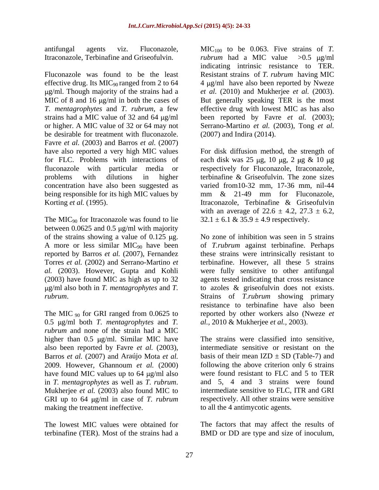Itraconazole, Terbinafine and Griseofulvin. *rubrum* had a MIC value > 0.5  $\mu$ g/ml

Fluconazole was found to be the least Resistant strains of *T. rubrum* having MIC effective drug. Its  $MIC_{90}$  ranged from 2 to 64  $\mu$ g/ml. Though majority of the strains had a *et al.* (2010) and Mukherjee *et al.* (2003). MIC of 8 and 16  $\mu$ g/ml in both the cases of But generally speaking TER is the most *T. mentagrophytes* and *T. rubrum,* a few effective drug with lowest MIC as has also strains had a MIC value of 32 and 64  $\mu$ g/ml been reported by Favre *et al.* (2003); or higher. A MIC value of 32 or 64 may not Serrano-Martino *et al.* (2003), Tong *et al.* be desirable for treatment with fluconazole. Favre *et al.* (2003) and Barros *et al.* (2007) have also reported a very high MIC values For disk diffusion method, the strength of for FLC. Problems with interactions of each disk was  $25 \mu g$ ,  $10 \mu g$ ,  $2 \mu g \& 10 \mu g$ fluconazole with particular media or respectively for Fluconazole, Itraconazole, problems with dilutions in higher terbinafine & Griseofulvin. The zone sizes concentration have also been suggested as varied from10-32 mm, 17-36 mm, nil-44 being responsible for its high MIC values by Korting *et al.* (1995). Itraconazole, Terbinafine & Griseofulvin

The  $MIC<sub>90</sub>$  for Itraconazole was found to lie between  $0.0625$  and  $0.5 \mu g/ml$  with majority of the strains showing a value of  $0.125 \mu$ g. reported by Barros *et al.* (2007), Fernandez *al.* (2003). However, Gupta and Kohli

0.5 g/ml both *T. mentagrophytes* and *T. rubrum* and none of the strain had a MIC higher than  $0.5 \mu g/ml$ . Similar MIC have also been reported by Favre *et al.* (2003), Barros *et al.* (2007) and Araújo Mota *et al.* have found MIC values up to  $64 \mu g/ml$  also GRI up to 64  $\mu$ g/ml in case of *T. rubrum* making the treatment ineffective.

The lowest MIC values were obtained for terbinafine (TER). Most of the strains had a BMD or DD are type and size of inoculum,

antifungal agents viz. Fluconazole,  $MIC_{100}$  to be 0.063. Five strains of *T*. *rubrum* had a MIC value >0.5 µg/ml indicating intrinsic resistance to TER. 4 µg/ml have also been reported by Nweze *et al.* (2010) and Mukherjee *et al.* (2003). But generally speaking TER is the most (2007) and Indira (2014).

> mm & 21-49 mm for Fluconazole, with an average of  $22.6 \pm 4.2$ ,  $27.3 \pm 6.2$ ,  $32.1 \pm 6.1 \& 35.9 \pm 4.9$  respectively.

A more or less similar MIC90 have been of *T.rubrum* against terbinafine. Perhaps Torres *et al.* (2002) and Serrano-Martino *et*  terbinafine. However, all these 5 strains (2003) have found MIC as high as up to 32 agents tested indicating that cross resistance g/ml also both in *T. mentagrophytes* and *T.* to azoles & griseofulvin does not exists. *rubrum*. Strains of *T.rubrum* showing primary The MIC <sub>90</sub> for GRI ranged from 0.0625 to reported by other workers also (Nweze *et* No zone of inhibition was seen in 5 strains these strains were intrinsically resistant to were fully sensitive to other antifungal resistance to terbinafine have also been *al.,* 2010 & Mukherjee *et al.,* 2003).

2009. However, Ghannoum *et al.* (2000) following the above criterion only 6 strains in *T. mentagrophytes* as well as *T. rubrum*. and 5, 4 and 3 strains were found Mukherjee *et al.* (2003) also found MIC to intermediate sensitive to FLC, ITR and GRI The strains were classified into sensitive, intermediate sensitive or resistant on the basis of their mean  $IZD \pm SD$  (Table-7) and were found resistant to FLC and 5 to TER and 5, 4 and 3 strains were found intermediate sensitive to FLC, ITR and GRI respectively. All other strains were sensitive to all the 4 antimycotic agents.

The factors that may affect the results of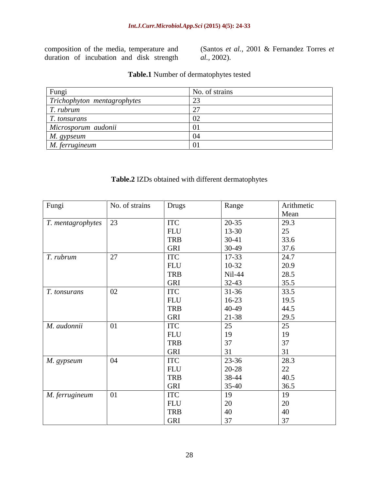duration of incubation and disk strength al., 2002).

composition of the media, temperature and (Santos *et al.,* 2001 & Fernandez Torres *et al.,* 2002).

### **Table.1** Number of dermatophytes tested

| Fungi                       | No. of strains |  |
|-----------------------------|----------------|--|
| Trichophyton mentagrophytes |                |  |
| T. rubrum                   |                |  |
| T. tonsurans                |                |  |
| Microsporum audonii         |                |  |
| M. gypseum                  |                |  |
| M. ferrugineum              |                |  |

# **Table.2** IZDs obtained with different dermatophytes

| Fungi                              | No. of strains | Drugs      | Range     | Arithmetic<br>Mean                           |
|------------------------------------|----------------|------------|-----------|----------------------------------------------|
| $\mid$ T. mentagrophytes $\mid$ 23 |                | <b>ITC</b> | 20-35     | 29.3                                         |
|                                    |                | <b>FLU</b> | 13-30     | 25                                           |
|                                    |                | <b>TRB</b> | $30-41$   | $33.6$<br>$37.6$                             |
|                                    |                | GRI        | $30-49$   |                                              |
| T. rubrum                          | 27             | <b>ITC</b> | 17-33     | $\boxed{24.7}$                               |
|                                    |                | <b>FLU</b> | $10-32$   | 20.9                                         |
|                                    |                | <b>TRB</b> | Nil-44    |                                              |
|                                    |                | GRI        | $32-43$   | $\begin{array}{ l} 28.5 \\ 35.5 \end{array}$ |
| T. tonsurans                       | 02             | <b>ITC</b> | $31 - 36$ | 33.5                                         |
|                                    |                | <b>FLU</b> | $16-23$   | 19.5                                         |
|                                    |                | <b>TRB</b> | 40-49     | 44.5                                         |
|                                    |                | <b>GRI</b> | 21-38     | 29.5                                         |
| M. audonnii                        | $\mid$ 01      | <b>ITC</b> | 25        | 25                                           |
|                                    |                | <b>FLU</b> | 19        | 19                                           |
|                                    |                | <b>TRB</b> | 37        | 37                                           |
|                                    |                | GRI        | 31        | 31                                           |
| $M.$ gypseum                       | 04             | ITC        | 23-36     | 28.3                                         |
|                                    |                | <b>FLU</b> | 20-28     | 22                                           |
|                                    |                | <b>TRB</b> | 38-44     | 40.5                                         |
|                                    |                | <b>GRI</b> | 35-40     | 36.5                                         |
| $M.$ ferrugineum                   | 01             | <b>ITC</b> | 19        | 19                                           |
|                                    |                | <b>FLU</b> | 20        | 20                                           |
|                                    |                | <b>TRB</b> | 40        | 40                                           |
|                                    |                | <b>GRI</b> | 37        | 37                                           |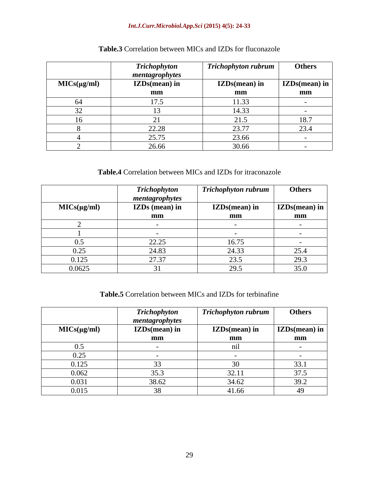#### *Int.J.Curr.Microbiol.App.Sci* **(2015) 4(5): 24-33**

|                  | <b>Trichophyton</b>  | Trichophyton rubrum | <b>Others</b>                 |
|------------------|----------------------|---------------------|-------------------------------|
|                  | mentagrophytes       |                     |                               |
| $MICs(\mu g/ml)$ | <b>IZDs(mean)</b> in | $IZDs(mean)$ i      | <b>IZDs</b> (mean) in         |
|                  | mm                   | mm                  | mm                            |
| -64              | 17E                  | 1.33                |                               |
| $\Omega$         |                      | 14.33               |                               |
|                  |                      | $\bigcap_{i=1}^n$   | 18.7                          |
|                  | 22.20<br>22.20       | 23.77               | $\bigcap_{i=1}^n A_i$<br>23.4 |
|                  | 25.75                | 23.66               |                               |
|                  | 26.66                | 30.66               |                               |

## **Table.3** Correlation between MICs and IZDs for fluconazole

## **Table.4** Correlation between MICs and IZDs for itraconazole

|                  | <b>Trichophyton</b>                   | <b>Trichophyton rubrum</b> | <b>Others</b>                                                             |
|------------------|---------------------------------------|----------------------------|---------------------------------------------------------------------------|
|                  |                                       |                            |                                                                           |
| $MICs(\mu g/ml)$ | mentagrophytes<br>IZDs (mean) in      | <b>IZDs(mean)</b> i.       | IZDs(mean) in                                                             |
|                  | <sub>mm</sub><br>--------             | mm                         | the contract of the contract of the contract of<br>$\mathbf{m}\mathbf{m}$ |
|                  |                                       |                            |                                                                           |
|                  |                                       |                            |                                                                           |
| 05               | 22.25<br>$\angle\angle$ . $\angle$ .) | 16.75                      |                                                                           |
| 0.25             | 24.83                                 | 24.33<br>$\ddotsc$         | $\bigcap \subset A$<br>224                                                |
| 0.125            | 27.37                                 | 22E<br>$\sim$ $\sim$       | $\Omega$                                                                  |
| 0.0625           |                                       | 20E                        | 250<br>$\sim\!\!\sim\!\!\cdot\,\sim$                                      |

# **Table.5** Correlation between MICs and IZDs for terbinafine

|                  | <b>Trichophyton</b> | <b>Trichophyton rubrum</b> | <b>Others</b>             |
|------------------|---------------------|----------------------------|---------------------------|
|                  | mentagrophytes      |                            |                           |
| $MICs(\mu g/ml)$ | IZDs(mean) in       | $IZDs(mean)$ i.            | $\mathbf{IZDs}$ (mean) in |
|                  | mm<br>--------      | mm                         | mm                        |
| 0.5              |                     |                            |                           |
| 0.25             |                     |                            |                           |
| 0.125            |                     |                            | $\sim$ $\sim$             |
| 0.062            | 35.3                | 32.11                      | $27$ $\epsilon$           |
| 0.031            | 38.62               | 34.62                      | 39.2                      |
| 0.015            | $\sim$ $\sim$       | 41.66                      | 49                        |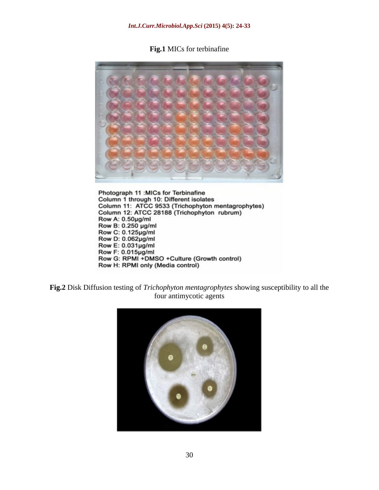**Fig.1** MICs for terbinafine



Photograph 11 : MICs for Terbinafine Friddyraph 11: MiCs for Terbinaline<br>Column 11: ATCC 9533 (Trichophyton mentagrophytes)<br>Column 12: ATCC 28188 (Trichophyton rubrum) Row A: 0.50µg/ml Row B: 0.250 µg/ml Row C: 0.125pg/ml<br>Row D: 0.062pg/ml Row E: 0.031µg/ml Row F: 0.015µg/ml Row G: RPMI +DMSO +Culture (Growth control) Row H: RPMI only (Media control)

**Fig.2** Disk Diffusion testing of *Trichophyton mentagrophytes* showing susceptibility to all the four antimycotic agents

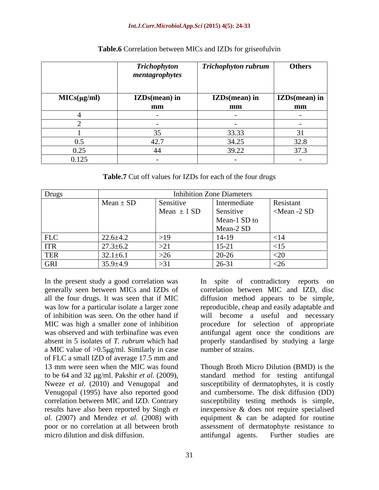|                  | <b>Trichophyton</b><br>mentagrophytes | $\boxed{\text{Trichophyton rubrum}}$ | Others                |
|------------------|---------------------------------------|--------------------------------------|-----------------------|
|                  |                                       |                                      |                       |
| $MICs(\mu g/ml)$ | <b>IZDs(mean)</b> in                  | IZDs(mean) in                        | <b>IZDs</b> (mean) in |
|                  | $\mathbf{m}\mathbf{m}$                | mm                                   | mm                    |
|                  |                                       |                                      |                       |
|                  |                                       |                                      |                       |
|                  |                                       | 33.33                                |                       |
|                  | 10 <sub>7</sub>                       | 1.25<br>. J 4. Z                     | 32.8                  |
| 0.25             |                                       | 20. 22.<br>39.ZZ                     | 373                   |
| 0.125            |                                       |                                      |                       |

#### **Table.6** Correlation between MICs and IZDs for griseofulvin

**Table.7** Cut off values for IZDs for each of the four drugs

| Drugs      |                |                              | <b>Inhibition Zone Diameters</b> |                                |
|------------|----------------|------------------------------|----------------------------------|--------------------------------|
|            | $Mean \pm SD$  | Sensitive<br>Mean $\pm$ 1 SD | Intermediate<br>Sensitive        | Resistant<br>$\leq$ Mean -2 SD |
|            |                |                              | Mean-1 SD to<br>Mean-2 SD        |                                |
| <b>FLC</b> | $22.6 \pm 4.2$ |                              | $14-19$                          |                                |
| <b>ITR</b> | $27.3 \pm 6.2$ | $\sqrt{21}$<br>- 21          | $15-21$                          |                                |
| <b>TER</b> | $32.1 \pm 6.1$ |                              | $20-26$                          |                                |
| <b>GRI</b> | $35.9 \pm 4.9$ |                              | $26-31$                          |                                |

In the present study a good correlation was generally seen between MICs and IZDs of a MIC value of  $>0.5 \mu g/ml$ . Similarly in case of FLC a small IZD of average 17.5 mm and micro dilution and disk diffusion. The analysis are analysis and a sent studies are analysis of the method of the studies are analysis of the studies are analysis of the studies are analysis of the studies are analysis of

all the four drugs. It was seen that if MIC diffusion method appears to be simple, was low for a particular isolate a larger zone reproducible, cheap and easily adaptable and of inhibition was seen. On the other hand if will become a useful and necessary MIC was high a smaller zone of inhibition procedure for selection of appropriate was observed and with terbinafine was even antifungal agent once the conditions are absent in 5 isolates of *T. rubrum* which had properly standardised by studying a large In spite of contradictory reports on correlation between MIC and IZD, disc number of strains.

13 mm were seen when the MIC was found Though Broth Micro Dilution (BMD) is the to be 64 and 32 µg/ml. Pakshir *et al.* (2009), standard method for testing antifungal Nweze *et al.* (2010) and Venugopal and susceptibility of dermatophytes, it is costly Venugopal (1995) have also reported good and cumbersome. The disk diffusion (DD) correlation between MIC and IZD. Contrary susceptibility testing methods is simple, results have also been reported by Singh *et*  inexpensive & does not require specialised *al.* (2007) and Mendez *et al.* (2008) with equipment & can be adapted for routine poor or no correlation at all between broth assessment of dermatophyte resistance to antifungal agents. Further studies are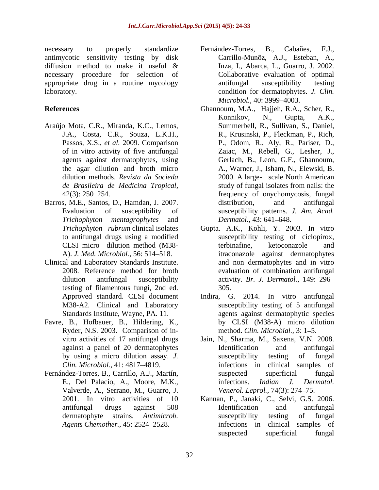necessary to properly standardize Fernández-Torres, B., Cabañes, F.J., antimycotic sensitivity testing by disk diffusion method to make it useful  $\&$  Inza, I., Abarca, L., Guarro, J. 2002. necessary procedure for selection of appropriate drug in a routine mycology antifungal susceptibility testing

- Araújo Mota, C.R., Miranda, K.C., Lemos,
- Barros, M.E., Santos, D., Hamdan, J. 2007. distribution, and antifungal *Trichophyton mentagrophytes* and
- Clinical and Laboratory Standards Institute. testing of filamentous fungi, 2nd ed.
- Favre, B., Hofbauer, B., Hildering, K., Ryder, N.S. 2003. Comparison of in-
- Fernández-Torres, B., Carrillo, A.J., Martín,
- laboratory. condition for dermatophytes. *J. Clin.* Fernández-Torres, B., Cabañes, F.J., Carrillo-Munõz, A.J., Esteban, A., Inza, I., Abarca, L., Guarro, J. 2002. Collaborative evaluation of optimal antifungal susceptibility testing *Microbiol., 40: 3999-4003.*
- **References** Ghannoum, M.A., Hajjeh, R.A., Scher, R., J.A., Costa, C.R., Souza, L.K.H., Passos, X.S., *et al.* 2009. Comparison of in vitro activity of five antifungal Zaiac, M., Rebell, G., Lesher, J., agents against dermatophytes, using Gerlach, B., Leon, G.F., Ghannoum, the agar dilution and broth micro A., Warner, J., Isham, N., Elewski, B. dilution methods. *Revista da Socieda* 2000. A large- scale North American *de Brasileira de Medicina Tropical,* 42(3): 250 254. frequency of onychomycosis, fungal Evaluation of susceptibility of susceptibility patterns. *J. Am. Acad.* Ghannoum, M.A., Hajjeh, R.A., Scher, R.,<br>Konnikov, N., Gupta, A.K., Summerbell, R., Sullivan, S., Daniel, R., Krusinski, P., Fleckman, P., Rich, P., Odom, R., Aly, R., Pariser, D., Zaiac, M., Rebell, G., Lesher, J., Gerlach, B., Leon, G.F., Ghannoum, study of fungal isolates from nails: the distribution, and antifungal *Dermatol.,* 43: 641–648.
	- *Trichophyton rubrum* clinical isolates Gupta. A.K., Kohli, Y. 2003. In vitro to antifungal drugs using a modified susceptibility testing of ciclopirox, CLSI micro dilution method (M38- A). *J. Med. Microbiol.,* 56: 514 518. itraconazole against dermatophytes 2008. Reference method for broth evaluation of combination antifungal dilution antifungal susceptibility activity. *Br. J. Dermatol.,* 149: 296 terbinafine, ketoconazole and and non dermatophytes and in vitro 305.
	- Approved standard. CLSI document Indira, G. 2014. In vitro antifungal M38-A2. Clinical and Laboratory susceptibility testing of 5 antifungal Standards Institute, Wayne, PA. 11. agents against dermatophytic species by CLSI (M38-A) micro dilution method. *Clin. Microbial.*, 3: 1–5.
	- vitro activities of 17 antifungal drugs Jain, N., Sharma, M., Saxena, V.N. 2008. against a panel of 20 dermatophytes by using a micro dilution assay. *J. Clin. Microbiol.*, 41: 4817–4819. The infections in clinical samples of E., Del Palacio, A., Moore, M.K., infections. *Indian J. Dermatol.*<br>Valverde, A., Serrano, M., Guarro, J. *Venerol. Leprol.*, 74(3): 274–75. Identification and antifungal susceptibility testing of fungal suspected superficial fungal infections. *Indian J. Dermatol. Venerol. Leprol.,* 74(3): <sup>274</sup> 75.
	- 2001. In vitro activities of 10 Kannan, P., Janaki, C., Selvi, G.S. 2006. antifungal drugs against 508 dermatophyte strains. *Antimicrob. Agents Chemother.,* 45: 2524–2528. infections in clinical samples of Identification and antifungal susceptibility testing of fungal infections in clinical samples of suspected superficial fungal